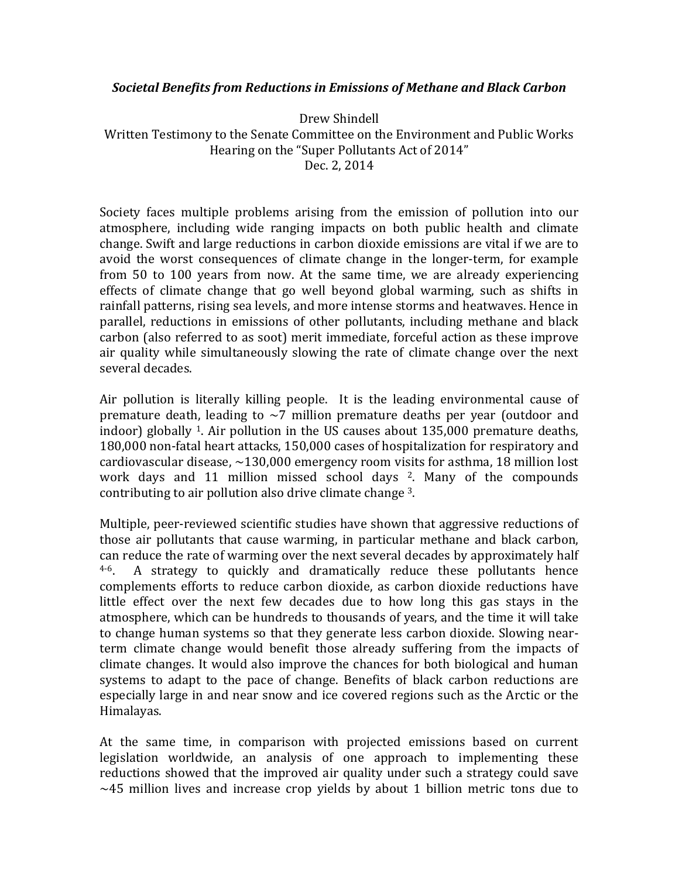## **Societal Benefits from Reductions in Emissions of Methane and Black Carbon**

Drew Shindell Written Testimony to the Senate Committee on the Environment and Public Works Hearing on the "Super Pollutants Act of 2014" Dec. 2, 2014

Society faces multiple problems arising from the emission of pollution into our atmosphere, including wide ranging impacts on both public health and climate change. Swift and large reductions in carbon dioxide emissions are vital if we are to avoid the worst consequences of climate change in the longer-term, for example from 50 to 100 years from now. At the same time, we are already experiencing effects of climate change that go well beyond global warming, such as shifts in rainfall patterns, rising sea levels, and more intense storms and heatwaves. Hence in parallel, reductions in emissions of other pollutants, including methane and black carbon (also referred to as soot) merit immediate, forceful action as these improve air quality while simultaneously slowing the rate of climate change over the next several decades.

Air pollution is literally killing people. It is the leading environmental cause of premature death, leading to  $\sim$ 7 million premature deaths per year (outdoor and indoor) globally <sup>1</sup>. Air pollution in the US causes about  $135,000$  premature deaths, 180,000 non-fatal heart attacks, 150,000 cases of hospitalization for respiratory and cardiovascular disease,  $\sim$ 130,000 emergency room visits for asthma, 18 million lost work days and 11 million missed school days  $2$ . Many of the compounds contributing to air pollution also drive climate change 3.

Multiple, peer-reviewed scientific studies have shown that aggressive reductions of those air pollutants that cause warming, in particular methane and black carbon, can reduce the rate of warming over the next several decades by approximately half  $4-6$ . A strategy to quickly and dramatically reduce these pollutants hence complements efforts to reduce carbon dioxide, as carbon dioxide reductions have little effect over the next few decades due to how long this gas stays in the atmosphere, which can be hundreds to thousands of years, and the time it will take to change human systems so that they generate less carbon dioxide. Slowing nearterm climate change would benefit those already suffering from the impacts of climate changes. It would also improve the chances for both biological and human systems to adapt to the pace of change. Benefits of black carbon reductions are especially large in and near snow and ice covered regions such as the Arctic or the Himalayas.

At the same time, in comparison with projected emissions based on current legislation worldwide, an analysis of one approach to implementing these reductions showed that the improved air quality under such a strategy could save  $\sim$ 45 million lives and increase crop yields by about 1 billion metric tons due to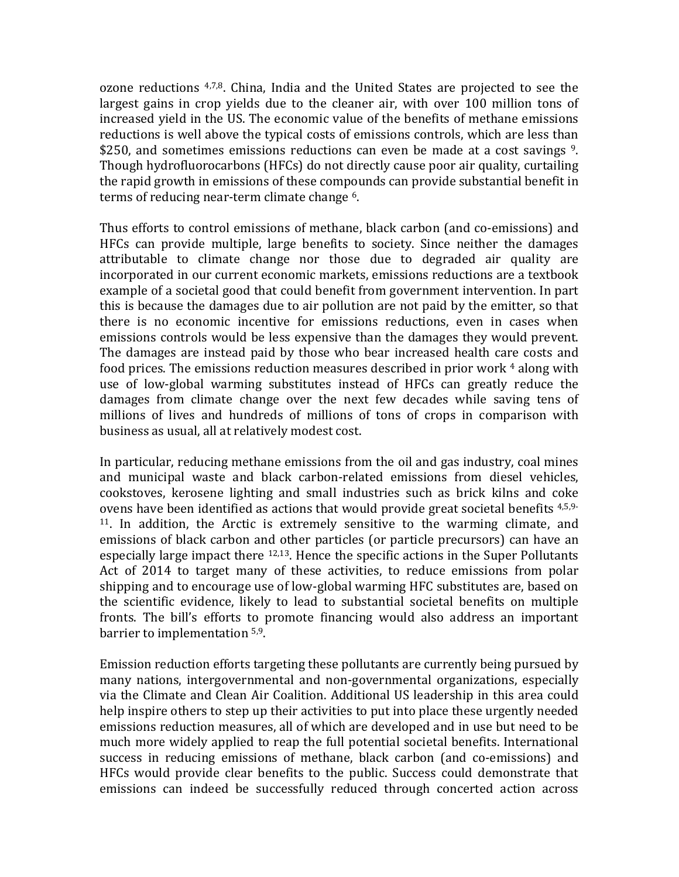$\alpha$  ozone reductions  $4,7,8$ . China, India and the United States are projected to see the largest gains in crop yields due to the cleaner air, with over 100 million tons of increased yield in the US. The economic value of the benefits of methane emissions reductions is well above the typical costs of emissions controls, which are less than \$250, and sometimes emissions reductions can even be made at a cost savings  $9$ . Though hydrofluorocarbons (HFCs) do not directly cause poor air quality, curtailing the rapid growth in emissions of these compounds can provide substantial benefit in terms of reducing near-term climate change <sup>6</sup>.

Thus efforts to control emissions of methane, black carbon (and co-emissions) and HFCs can provide multiple, large benefits to society. Since neither the damages attributable to climate change nor those due to degraded air quality are incorporated in our current economic markets, emissions reductions are a textbook example of a societal good that could benefit from government intervention. In part this is because the damages due to air pollution are not paid by the emitter, so that there is no economic incentive for emissions reductions, even in cases when emissions controls would be less expensive than the damages they would prevent. The damages are instead paid by those who bear increased health care costs and food prices. The emissions reduction measures described in prior work  $4$  along with use of low-global warming substitutes instead of HFCs can greatly reduce the damages from climate change over the next few decades while saving tens of millions of lives and hundreds of millions of tons of crops in comparison with business as usual, all at relatively modest cost.

In particular, reducing methane emissions from the oil and gas industry, coal mines and municipal waste and black carbon-related emissions from diesel vehicles, cookstoves, kerosene lighting and small industries such as brick kilns and coke ovens have been identified as actions that would provide great societal benefits  $4,5,9 11$ . In addition, the Arctic is extremely sensitive to the warming climate, and emissions of black carbon and other particles (or particle precursors) can have an especially large impact there  $12,13$ . Hence the specific actions in the Super Pollutants Act of 2014 to target many of these activities, to reduce emissions from polar shipping and to encourage use of low-global warming HFC substitutes are, based on the scientific evidence, likely to lead to substantial societal benefits on multiple fronts. The bill's efforts to promote financing would also address an important barrier to implementation <sup>5,9</sup>.

Emission reduction efforts targeting these pollutants are currently being pursued by many nations, intergovernmental and non-governmental organizations, especially via the Climate and Clean Air Coalition. Additional US leadership in this area could help inspire others to step up their activities to put into place these urgently needed emissions reduction measures, all of which are developed and in use but need to be much more widely applied to reap the full potential societal benefits. International success in reducing emissions of methane, black carbon (and co-emissions) and HFCs would provide clear benefits to the public. Success could demonstrate that emissions can indeed be successfully reduced through concerted action across